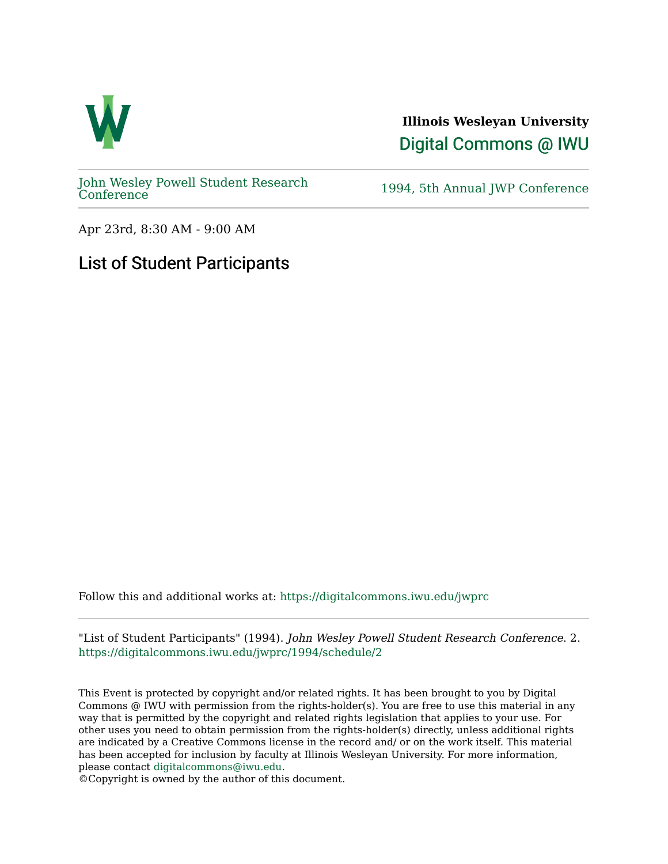

**Illinois Wesleyan University**  [Digital Commons @ IWU](https://digitalcommons.iwu.edu/) 

[John Wesley Powell Student Research](https://digitalcommons.iwu.edu/jwprc) 

1994, 5th Annual JWP [Conference](https://digitalcommons.iwu.edu/jwprc)

Apr 23rd, 8:30 AM - 9:00 AM

## List of Student Participants

Follow this and additional works at: [https://digitalcommons.iwu.edu/jwprc](https://digitalcommons.iwu.edu/jwprc?utm_source=digitalcommons.iwu.edu%2Fjwprc%2F1994%2Fschedule%2F2&utm_medium=PDF&utm_campaign=PDFCoverPages) 

"List of Student Participants" (1994). John Wesley Powell Student Research Conference. 2. [https://digitalcommons.iwu.edu/jwprc/1994/schedule/2](https://digitalcommons.iwu.edu/jwprc/1994/schedule/2?utm_source=digitalcommons.iwu.edu%2Fjwprc%2F1994%2Fschedule%2F2&utm_medium=PDF&utm_campaign=PDFCoverPages) 

This Event is protected by copyright and/or related rights. It has been brought to you by Digital Commons @ IWU with permission from the rights-holder(s). You are free to use this material in any way that is permitted by the copyright and related rights legislation that applies to your use. For other uses you need to obtain permission from the rights-holder(s) directly, unless additional rights are indicated by a Creative Commons license in the record and/ or on the work itself. This material has been accepted for inclusion by faculty at Illinois Wesleyan University. For more information, please contact [digitalcommons@iwu.edu.](mailto:digitalcommons@iwu.edu)

©Copyright is owned by the author of this document.